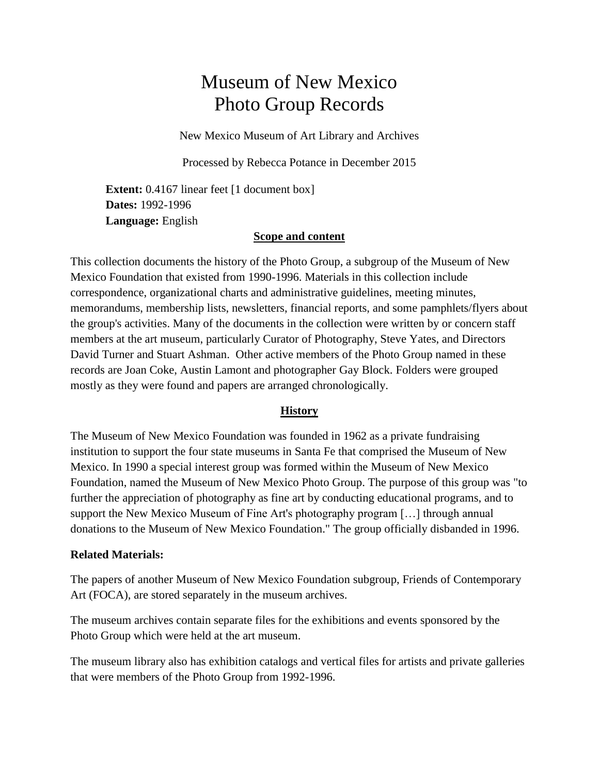# Museum of New Mexico Photo Group Records

New Mexico Museum of Art Library and Archives

Processed by Rebecca Potance in December 2015

**Extent:** 0.4167 linear feet [1 document box] **Dates:** 1992-1996 **Language:** English

### **Scope and content**

This collection documents the history of the Photo Group, a subgroup of the Museum of New Mexico Foundation that existed from 1990-1996. Materials in this collection include correspondence, organizational charts and administrative guidelines, meeting minutes, memorandums, membership lists, newsletters, financial reports, and some pamphlets/flyers about the group's activities. Many of the documents in the collection were written by or concern staff members at the art museum, particularly Curator of Photography, Steve Yates, and Directors David Turner and Stuart Ashman. Other active members of the Photo Group named in these records are Joan Coke, Austin Lamont and photographer Gay Block. Folders were grouped mostly as they were found and papers are arranged chronologically.

### **History**

The Museum of New Mexico Foundation was founded in 1962 as a private fundraising institution to support the four state museums in Santa Fe that comprised the Museum of New Mexico. In 1990 a special interest group was formed within the Museum of New Mexico Foundation, named the Museum of New Mexico Photo Group. The purpose of this group was "to further the appreciation of photography as fine art by conducting educational programs, and to support the New Mexico Museum of Fine Art's photography program […] through annual donations to the Museum of New Mexico Foundation." The group officially disbanded in 1996.

### **Related Materials:**

The papers of another Museum of New Mexico Foundation subgroup, Friends of Contemporary Art [\(FOCA\)](http://www.nmartmuseum.org/assets/files/Finding%20Aids/foca-archives.pdf), are stored separately in the museum archives.

The museum archives contain separate files for the exhibitions and events sponsored by the Photo Group which were held at the art museum.

The museum library also has exhibition catalogs and vertical files for artists and private galleries that were members of the Photo Group from 1992-1996.